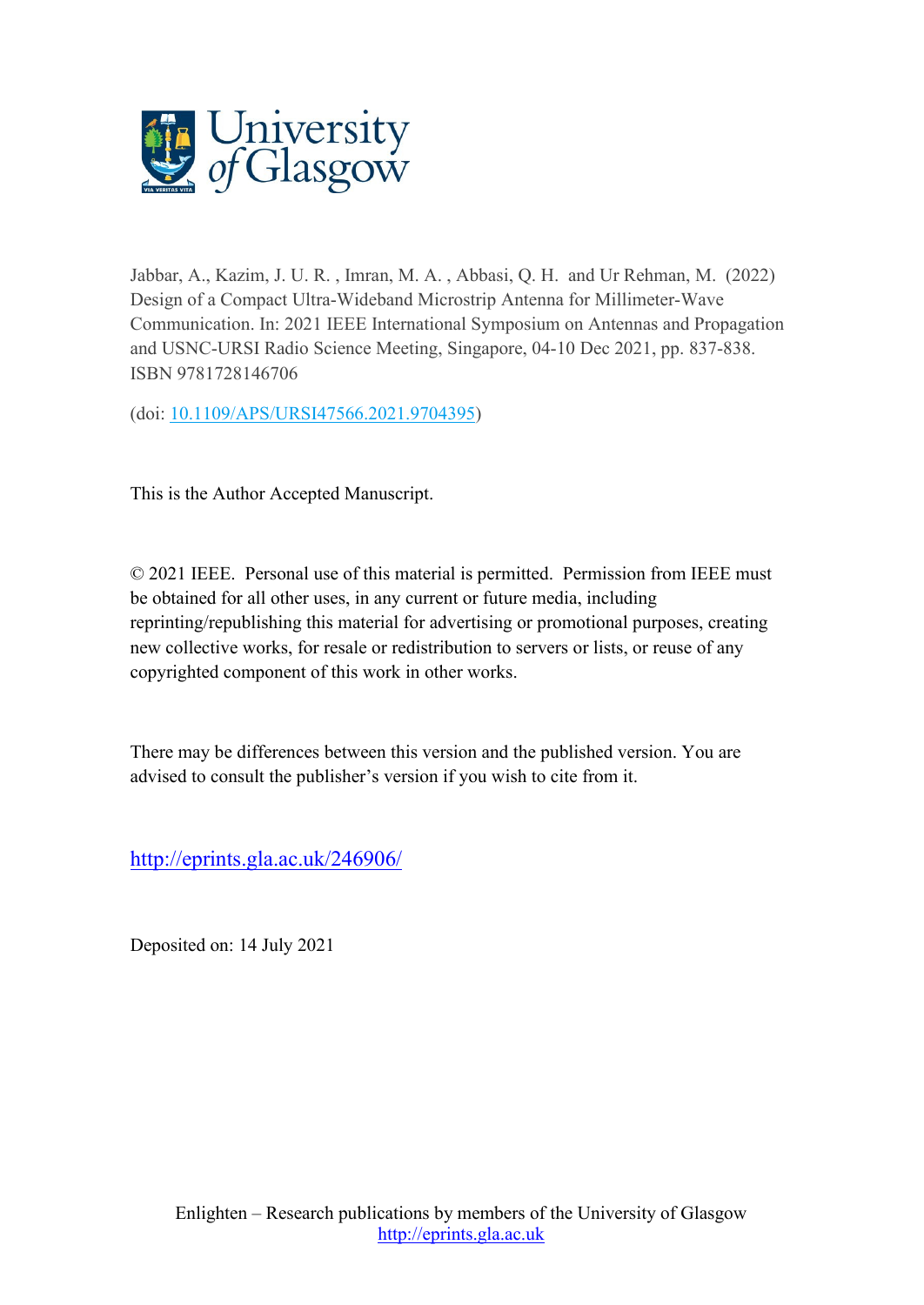

Jabbar, A., Kazim, J. U. R. , Imran, M. A. , Abbasi, Q. H. and Ur Rehman, M. (2022) Design of a Compact Ultra-Wideband Microstrip Antenna for Millimeter-Wave Communication. In: 2021 IEEE International Symposium on Antennas and Propagation and USNC-URSI Radio Science Meeting, Singapore, 04-10 Dec 2021, pp. 837-838. ISBN 9781728146706

(doi: [10.1109/APS/URSI47566.2021.9704395\)](http://dx.doi.org/10.1109/APS/URSI47566.2021.9704395)

This is the Author Accepted Manuscript.

© 2021 IEEE. Personal use of this material is permitted. Permission from IEEE must be obtained for all other uses, in any current or future media, including reprinting/republishing this material for advertising or promotional purposes, creating new collective works, for resale or redistribution to servers or lists, or reuse of any copyrighted component of this work in other works.

There may be differences between this version and the published version. You are advised to consult the publisher's version if you wish to cite from it.

<http://eprints.gla.ac.uk/246906/>

Deposited on: 14 July 2021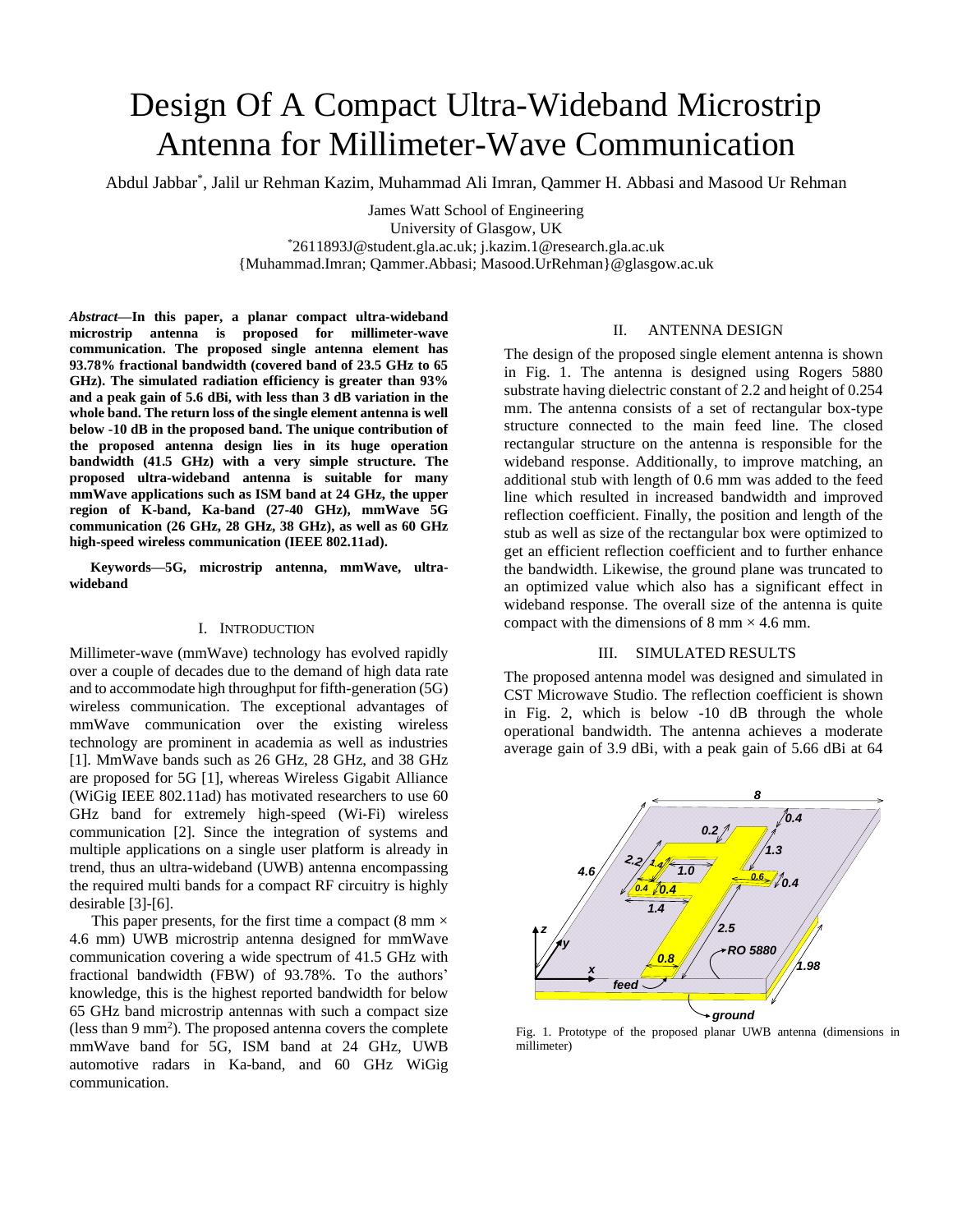# Design Of A Compact Ultra-Wideband Microstrip Antenna for Millimeter-Wave Communication

Abdul Jabbar\* , [Jalil ur Rehman Kazim,](https://onlinelibrary.wiley.com/action/doSearch?ContribAuthorStored=Kazim%2C+Jalil+Ur+Rehman) Muhammad Ali Imran, Qammer H. Abbasi and Masood Ur Rehman

James Watt School of Engineering University of Glasgow, UK \*[2611893J@student.gla.ac.uk;](mailto:2611893J@student.gla.ac.uk) [j.kazim.1@research.gla.ac.uk](mailto:j.kazim.1@research.gla.ac.uk) {Muhammad.Imran; Qammer.Abbasi; [Masood.UrRehman}@glasgow.ac.uk](mailto:Masood.UrRehman%7d@glasgow.ac.uk)

*Abstract***—In this paper, a planar compact ultra-wideband microstrip antenna is proposed for millimeter-wave communication. The proposed single antenna element has 93.78% fractional bandwidth (covered band of 23.5 GHz to 65 GHz). The simulated radiation efficiency is greater than 93% and a peak gain of 5.6 dBi, with less than 3 dB variation in the whole band. The return loss of the single element antenna is well below -10 dB in the proposed band. The unique contribution of the proposed antenna design lies in its huge operation bandwidth (41.5 GHz) with a very simple structure. The proposed ultra-wideband antenna is suitable for many mmWave applications such as ISM band at 24 GHz, the upper region of K-band, Ka-band (27-40 GHz), mmWave 5G communication (26 GHz, 28 GHz, 38 GHz), as well as 60 GHz high-speed wireless communication (IEEE 802.11ad).**

**Keywords—5G, microstrip antenna, mmWave, ultrawideband**

### I. INTRODUCTION

Millimeter-wave (mmWave) technology has evolved rapidly over a couple of decades due to the demand of high data rate and to accommodate high throughput for fifth-generation (5G) wireless communication. The exceptional advantages of mmWave communication over the existing wireless technology are prominent in academia as well as industries [\[1\].](#page-2-0) MmWave bands such as 26 GHz, 28 GHz, and 38 GHz are proposed for 5G [\[1\],](#page-2-0) whereas Wireless Gigabit Alliance (WiGig IEEE 802.11ad) has motivated researchers to use 60 GHz band for extremely high-speed (Wi-Fi) wireless communication [\[2\].](#page-2-1) Since the integration of systems and multiple applications on a single user platform is already in trend, thus an ultra-wideband (UWB) antenna encompassing the required multi bands for a compact RF circuitry is highly desirable [\[3\]](#page-2-2)[-\[6\].](#page-2-3)

This paper presents, for the first time a compact (8 mm  $\times$ 4.6 mm) UWB microstrip antenna designed for mmWave communication covering a wide spectrum of 41.5 GHz with fractional bandwidth (FBW) of 93.78%. To the authors' knowledge, this is the highest reported bandwidth for below 65 GHz band microstrip antennas with such a compact size (less than 9 mm<sup>2</sup> ). The proposed antenna covers the complete mmWave band for 5G, ISM band at 24 GHz, UWB automotive radars in Ka-band, and 60 GHz WiGig communication.

# II. ANTENNA DESIGN

The design of the proposed single element antenna is shown in Fig. 1. The antenna is designed using Rogers 5880 substrate having dielectric constant of 2.2 and height of 0.254 mm. The antenna consists of a set of rectangular box-type structure connected to the main feed line. The closed rectangular structure on the antenna is responsible for the wideband response. Additionally, to improve matching, an additional stub with length of 0.6 mm was added to the feed line which resulted in increased bandwidth and improved reflection coefficient. Finally, the position and length of the stub as well as size of the rectangular box were optimized to get an efficient reflection coefficient and to further enhance the bandwidth. Likewise, the ground plane was truncated to an optimized value which also has a significant effect in wideband response. The overall size of the antenna is quite compact with the dimensions of 8 mm  $\times$  4.6 mm.

## III. SIMULATED RESULTS

The proposed antenna model was designed and simulated in CST Microwave Studio. The reflection coefficient is shown in Fig. 2, which is below -10 dB through the whole operational bandwidth. The antenna achieves a moderate average gain of 3.9 dBi, with a peak gain of 5.66 dBi at 64



Fig. 1. Prototype of the proposed planar UWB antenna (dimensions in millimeter)